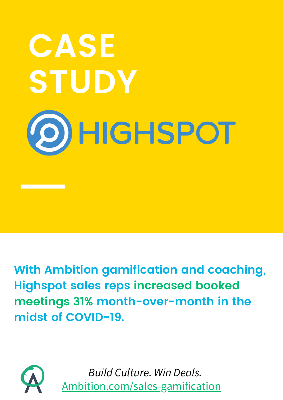

**With Ambition gamification and coaching, Highspot sales reps increased booked meetings 31% month-over-month in the midst of COVID-19.**



*Build Culture. Win Deals.* [Ambition.com/sales-gamification](https://ambition.com/sales-gamification?utm_source=guru&utm_medium=GTM&utm_content=highspot_case_study&utm_term=pdf_download&utm_campaign=gamification)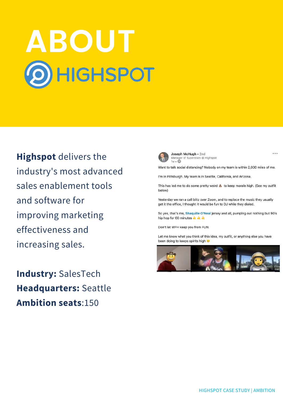# **ABOUT<br>
OHIGHSPOT**

**Highspot** delivers the industry's most advanced sales enablement tools and software for improving marketing effectiveness and increasing sales.

**Industry:** SalesTech **[Headquarters:](http://payscape.com/registration/)** Seattle **Ambition seats**:150



Joseph McHugh . 2nd Manager of Superstars @ Highspot<br>1w • ©

Want to talk social distancing? Nobody on my team is within 2,000 miles of me.

I'm in Pittsburgh, My team is in Seattle, California, and Arizona.

This has led me to do some pretty weird & to keep morale high. (See my outfit below)

Yesterday we ran a call blitz over Zoom, and to replace the music they usually get it the office, I thought it would be fun to DJ while they dialed.

So yes, that's me, Shaquille O'Neal jersey and all, pumping out nothing but 90's hip hop for 60 minutes  $\frac{1}{2}$   $\frac{1}{2}$ 

Don't let WFH keep you from FUN.

Let me know what you think of this idea, my outfit, or anything else you have been doing to keeps spirits high @



 $\sim$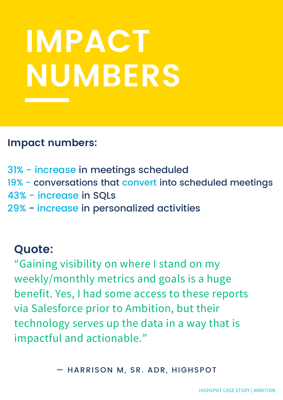## **IMPACT NUMBERS**

#### **Impact numbers:**

- 31% increase in meetings scheduled
- 19% conversations that convert into scheduled meetings
- 43% increase in SQLs
- 29% increase in personalized activities

#### **Quote:**

"Gaining visibility on where I stand on my weekly/monthly metrics and goals is a huge benefit. Yes, I had some access to these reports via Salesforce prior to Ambition, but their technology serves up the data in a way that is impactful and actionable."

— HARRISON M, SR. ADR, HIGHSPOT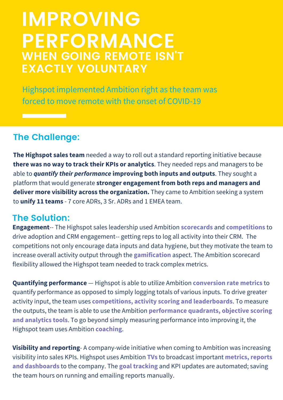### **IMPROVING PERFORMANCE WHEN GOING REMOTE ISN'T EXACTLY VOLUNTARY**

Highspot implemented Ambition right as the team was forced to move remote with the onset of COVID-19

#### **The Challenge:**

<u> Tanzania (h. 1878).</u>

**The Highspot sales team** needed a way to roll out a standard reporting initiative because **there was no way to track their KPIs or analytics**. They needed reps and managers to be able to *quantify their performance* **improving both inputs and outputs**. They sought a platform that would generate **stronger engagement from both reps and managers and deliver more visibility across the organization.** They came to Ambition seeking a system to **unify 11 teams** - 7 core ADRs, 3 Sr. ADRs and 1 EMEA team.

#### **The Solution:**

**Engagement**-- The Highspot sales leadership used Ambition **scorecards** and **competitions** to drive adoption and CRM engagement-- getting reps to log all activity into their CRM. The competitions not only encourage data inputs and data hygiene, but they motivate the team to increase overall activity output through the **gamification** aspect. The Ambition scorecard flexibility allowed the Highspot team needed to track complex metrics.

**Quantifying performance** — Highspot is able to utilize Ambition **conversion rate metrics** to quantify performance as opposed to simply logging totals of various inputs. To drive greater activity input, the team uses **competitions, activity scoring and leaderboards**. To measure the outputs, the team is able to use the Ambition **performance quadrants, objective scoring and analytics tools**. To go beyond simply measuring performance into improving it, the Highspot team uses Ambition **coaching**.

**Visibility and reporting**- A company-wide initiative when coming to Ambition was increasing visibility into sales KPIs. Highspot uses Ambition **TVs** to broadcast important **metrics, reports and dashboards** to the company. The **goal tracking** and KPI updates are automated; saving the team hours on running and emailing reports manually.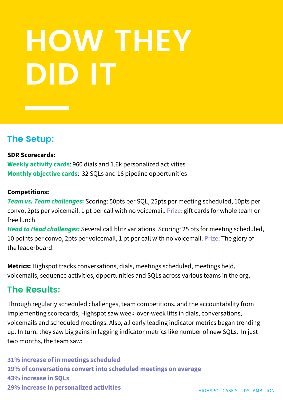### **HOW THEY DID IT**

#### **The Setup:**

#### **SDR Scorecards:**

**Weekly activity cards**: 960 dials and 1.6k personalized activities **Monthly objective cards**: 32 SQLs and 16 pipeline opportunities

#### **Competitions:**

*Team vs. Team challenges***:** Scoring: 50pts per SQL, 25pts per meeting scheduled, 10pts per convo, 2pts per voicemail, 1 pt per call with no voicemail. Prize: gift cards for whole team or free lunch.

*Head to Head challenges:* Several call blitz variations. Scoring: 25 pts for meeting scheduled, 10 points per convo, 2pts per voicemail, 1 pt per call with no voicemail. Prize: The glory of the leaderboard

**Metrics:** Highspot tracks conversations, dials, meetings scheduled, meetings held, voicemails, sequence activities, opportunities and SQLs across various teams in the org.

#### **The Results:**

Through regularly scheduled challenges, team competitions, and the accountability from implementing scorecards, Highspot saw week-over-week lifts in dials, conversations, voicemails and scheduled meetings. Also, all early leading indicator metrics began trending up. In turn, they saw big gains in lagging indicator metrics like number of new SQLs. In just two months, the team saw:

**31% increase of in meetings scheduled 19% of conversations convert into scheduled meetings on average 43% increase in SQLs 29% increase in personalized activities**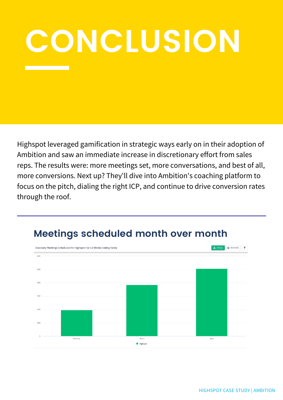## **CONCLUSION**

Highspot leveraged gamification in strategic ways early on in their adoption of Ambition and saw an immediate increase in discretionary effort from sales reps. The results were: more meetings set, more conversations, and best of all, more conversions. Next up? They'll dive into Ambition's coaching platform to focus on the pitch, dialing the right ICP, and continue to drive conversion rates through the roof.



#### **Meetings scheduled month over month**